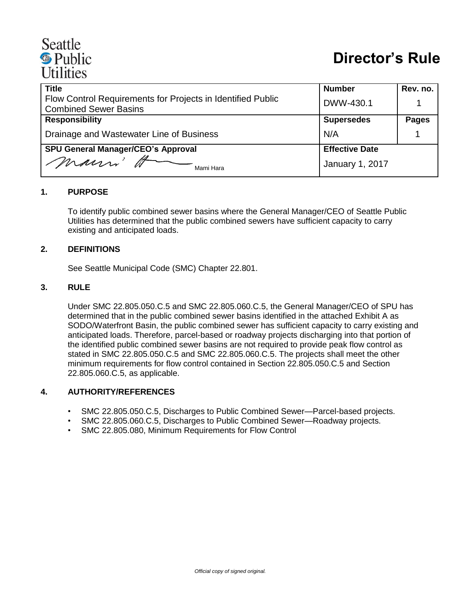# Seattle **·** Public **Utilities**

| <b>Title</b>                                                | <b>Number</b>          | Rev. no.     |
|-------------------------------------------------------------|------------------------|--------------|
| Flow Control Requirements for Projects in Identified Public | DWW-430.1              |              |
| <b>Combined Sewer Basins</b>                                |                        |              |
| <b>Responsibility</b>                                       | <b>Supersedes</b>      | <b>Pages</b> |
| Drainage and Wastewater Line of Business                    | N/A                    |              |
| <b>SPU General Manager/CEO's Approval</b>                   | <b>Effective Date</b>  |              |
| marri A<br>Mami Hara                                        | <b>January 1, 2017</b> |              |

## **1. PURPOSE**

To identify public combined sewer basins where the General Manager/CEO of Seattle Public Utilities has determined that the public combined sewers have sufficient capacity to carry existing and anticipated loads.

#### **2. DEFINITIONS**

See Seattle Municipal Code (SMC) Chapter 22.801.

#### **3. RULE**

Under SMC 22.805.050.C.5 and SMC 22.805.060.C.5, the General Manager/CEO of SPU has determined that in the public combined sewer basins identified in the attached Exhibit A as SODO/Waterfront Basin, the public combined sewer has sufficient capacity to carry existing and anticipated loads. Therefore, parcel-based or roadway projects discharging into that portion of the identified public combined sewer basins are not required to provide peak flow control as stated in SMC 22.805.050.C.5 and SMC 22.805.060.C.5. The projects shall meet the other minimum requirements for flow control contained in Section 22.805.050.C.5 and Section 22.805.060.C.5, as applicable.

### **4. AUTHORITY/REFERENCES**

- SMC 22.805.050.C.5, Discharges to Public Combined Sewer—Parcel-based projects.
- SMC 22.805.060.C.5, Discharges to Public Combined Sewer—Roadway projects.
- SMC 22.805.080, Minimum Requirements for Flow Control